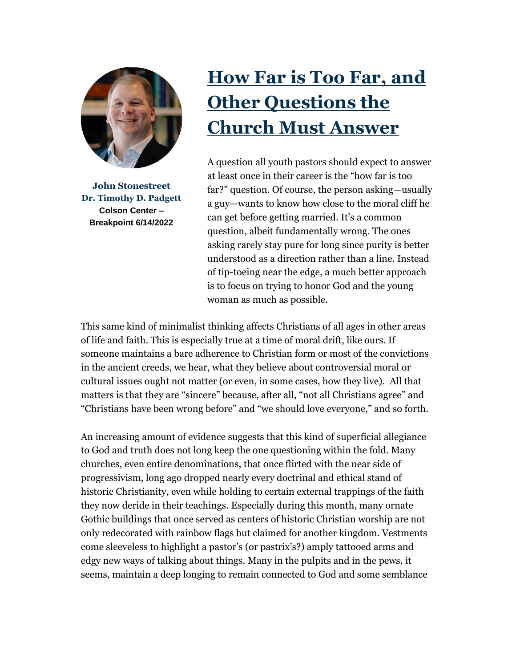

**John Stonestreet Dr. Timothy D. Padgett Colson Center – Breakpoint 6/14/2022**

## **[How Far is Too Far, and](https://email.breakpoint.org/e3t/Ctc/2K+113/cCDWX04/VVsxkz8cq7wqN4QQWX36HbHyW67tPB74LhwMLN2_Qd4y2-MKpV1-WJV7CgF7rW8MkRmp86s0QgW8Tw5f537-TFkW4j-bYn27JqwlW76LDr06g_ql4W6g1sZ83ZfS5DW1JRN-26Wx9kkW4pVWCb6yrw_RW30k8l630VNF1N3bfZw6YszD3W7tN9461cs3gSV901Md2MC6pgW3mSRlK83r1kMW4tjftn3JyCqNW6Vp3Bq5g1CT9W4dvzZ958MlqjV4rV6C1XQhvVW6T7llF7dz_9dW8PKgsy31k-NMVfBhTt5y-W4-VQP31r76gYNrV_bCQ-96RNCrW7ppj2J93l65r39KT1)  [Other Questions the](https://email.breakpoint.org/e3t/Ctc/2K+113/cCDWX04/VVsxkz8cq7wqN4QQWX36HbHyW67tPB74LhwMLN2_Qd4y2-MKpV1-WJV7CgF7rW8MkRmp86s0QgW8Tw5f537-TFkW4j-bYn27JqwlW76LDr06g_ql4W6g1sZ83ZfS5DW1JRN-26Wx9kkW4pVWCb6yrw_RW30k8l630VNF1N3bfZw6YszD3W7tN9461cs3gSV901Md2MC6pgW3mSRlK83r1kMW4tjftn3JyCqNW6Vp3Bq5g1CT9W4dvzZ958MlqjV4rV6C1XQhvVW6T7llF7dz_9dW8PKgsy31k-NMVfBhTt5y-W4-VQP31r76gYNrV_bCQ-96RNCrW7ppj2J93l65r39KT1)  [Church Must Answer](https://email.breakpoint.org/e3t/Ctc/2K+113/cCDWX04/VVsxkz8cq7wqN4QQWX36HbHyW67tPB74LhwMLN2_Qd4y2-MKpV1-WJV7CgF7rW8MkRmp86s0QgW8Tw5f537-TFkW4j-bYn27JqwlW76LDr06g_ql4W6g1sZ83ZfS5DW1JRN-26Wx9kkW4pVWCb6yrw_RW30k8l630VNF1N3bfZw6YszD3W7tN9461cs3gSV901Md2MC6pgW3mSRlK83r1kMW4tjftn3JyCqNW6Vp3Bq5g1CT9W4dvzZ958MlqjV4rV6C1XQhvVW6T7llF7dz_9dW8PKgsy31k-NMVfBhTt5y-W4-VQP31r76gYNrV_bCQ-96RNCrW7ppj2J93l65r39KT1)**

A question all youth pastors should expect to answer at least once in their career is the "how far is too far?" question. Of course, the person asking—usually a guy—wants to know how close to the moral cliff he can get before getting married. It's a common question, albeit fundamentally wrong. The ones asking rarely stay pure for long since purity is better understood as a direction rather than a line. Instead of tip-toeing near the edge, a much better approach is to focus on trying to honor God and the young woman as much as possible.

This same kind of minimalist thinking affects Christians of all ages in other areas of life and faith. This is especially true at a time of moral drift, like ours. If someone maintains a bare adherence to Christian form or most of the convictions in the ancient creeds, we hear, what they believe about controversial moral or cultural issues ought not matter (or even, in some cases, how they live). All that matters is that they are "sincere" because, after all, "not all Christians agree" and "Christians have been wrong before" and "we should love everyone," and so forth.

An increasing amount of evidence suggests that this kind of superficial allegiance to God and truth does not long keep the one questioning within the fold. Many churches, even entire denominations, that once flirted with the near side of progressivism, long ago dropped nearly every doctrinal and ethical stand of historic Christianity, even while holding to certain external trappings of the faith they now deride in their teachings. Especially during this month, many ornate Gothic buildings that once served as centers of historic Christian worship are not only redecorated with rainbow flags but claimed for another kingdom. Vestments come sleeveless to highlight a pastor's (or pastrix's?) amply tattooed arms and edgy new ways of talking about things. Many in the pulpits and in the pews, it seems, maintain a deep longing to remain connected to God and some semblance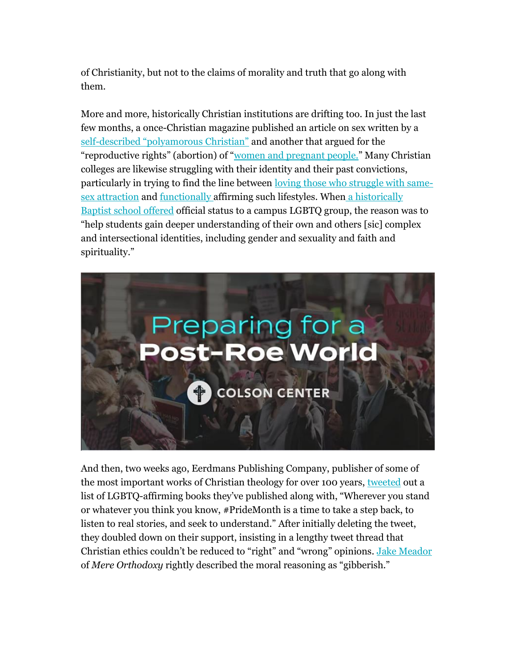of Christianity, but not to the claims of morality and truth that go along with them.

More and more, historically Christian institutions are drifting too. In just the last few months, a once-Christian magazine published an article on sex written by a self-[described "polyamorous Christian"](https://email.breakpoint.org/e3t/Ctc/2K+113/cCDWX04/VVsxkz8cq7wqN4QQWX36HbHyW67tPB74LhwMLN2_Qd4y2-MKpV1-WJV7CgVgRW5SpdG39jXBdCW6xpDns6mnQQJVxKf598-WKPZW183_XF43SV7rN8KT2dnGLwhlN2tcBq12_H-bW4rtGX33C6qSVW6ZxyTT1jn_1jW791HLw3h9HHvW3HKmrl3KkFRwW6c_p9b8yGQcZW32gbh32y9nzGW3Lcv826vjb19N6-Wm0qp2GPvN3765vd_M9tMW9h5bxL8RqjtBV_K4L_5F0YJzMD7RS4vT8bjMlmMTrtBcdGW3npb2_6B92sdW69ly_R7pRxK-W7dr0wM1kqpgG31wJ1) and another that argued for the "reproductive rights" (abortion) of "<u>[women and pregnant people.](https://email.breakpoint.org/e3t/Ctc/2K+113/cCDWX04/VVsxkz8cq7wqN4QQWX36HbHyW67tPB74LhwMLN2_Qd4S2-MKJV1-WJV7CgYrlW5tKJCD8qLqvNF5dX9wlWD2vW5Gg4gb50FK0MW4DGy6W3BTh5MW8W79BB7SmghWW36fh_g4fgb4fW6z59G76-xvBRW1Rnjk28LNJT3W1DcV4y7-KrrRW41_bt41026pqW2RnKrp8pr_GCW1R2j535TMsfPW61nCFx88_g62W3LsFBd5GcWYTW7LwNWw66hz0LW1lP9Fv7PgP0DW87n-t84rm4pTN8h1WWHCk9vJN3W7V8kC1K4wW49jfb232MWPbW8wHYfT62Pb6lVcTY3d8jkwDlW7VCHCN3G9-9YN6VWp9cw2str313M1)</u>" Many Christian colleges are likewise struggling with their identity and their past convictions, particularly in trying to find the line between [loving those who struggle with same](https://email.breakpoint.org/e3t/Ctc/2K+113/cCDWX04/VVsxkz8cq7wqN4QQWX36HbHyW67tPB74LhwMLN2_Qd4f2-MK5V1-WJV7CgQP6W4lg3_w7DKHcYW2yxdlS5D45hnW124jxy7Zlcx-W8gJl0y7ZZpqkW7jcYJK84HxybW3Sc94v12YDTQN4lSfXh2K3RYN8n3L8f_4_DgW2HFXny3GsQN-VpYTcl4kQ8fLW5KBL2h9dk5S4W8K-Rt63-wQR3N5yN-_zgY7wzW6g8CMc6JlNlqVX9Gvq8WQQQ9W31lmBc80PQB_N12ydmSxff0gW32pTSQ5kWNbSN4L7-BgQV05NW5r88sZ7dS1JK3q2k1)[sex attraction](https://email.breakpoint.org/e3t/Ctc/2K+113/cCDWX04/VVsxkz8cq7wqN4QQWX36HbHyW67tPB74LhwMLN2_Qd4f2-MK5V1-WJV7CgQP6W4lg3_w7DKHcYW2yxdlS5D45hnW124jxy7Zlcx-W8gJl0y7ZZpqkW7jcYJK84HxybW3Sc94v12YDTQN4lSfXh2K3RYN8n3L8f_4_DgW2HFXny3GsQN-VpYTcl4kQ8fLW5KBL2h9dk5S4W8K-Rt63-wQR3N5yN-_zgY7wzW6g8CMc6JlNlqVX9Gvq8WQQQ9W31lmBc80PQB_N12ydmSxff0gW32pTSQ5kWNbSN4L7-BgQV05NW5r88sZ7dS1JK3q2k1) and [functionally a](https://email.breakpoint.org/e3t/Ctc/2K+113/cCDWX04/VVsxkz8cq7wqN4QQWX36HbHyW67tPB74LhwMLN2_Qd572-MK_V1-WJV7CgBZgN4GqrSLjt02QW831kTd4nphyXW5rP7-31ps0LCW328pmh5KjjW2W46fw7V3N51q2W4-MXNT7NsgFtW2R6M0c33TGdWW1Sqlqg3y4KdNW1Qqm3M8t0XcXW9j31BM2nZlGJW5l0yPW3vFLRnN8RtHkqFPnfTW7XPYfd1VdGNDW1fp4C062VlH1W3tdhwR2ZDmM5W1KxNQ64gZmnZW4csp2r2PpvvdW8rvkZy4hwDqzW8nYjgH6sQkPZW5bllG27XjNJYW4cjSzy1v1Z_8W8TDs5d2L8c9rW6V0PxX1dkXb9W91BzLf5vwWJ8W3V4-R93NcM0tN6jJFgh8vnrF3nqV1)ffirming such lifestyles. When [a historically](https://email.breakpoint.org/e3t/Ctc/2K+113/cCDWX04/VVsxkz8cq7wqN4QQWX36HbHyW67tPB74LhwMLN2_Qd4y2-MKpV1-WJV7CgZK8W27tfPF54s22FW5d5tkP2hgyJWW1b1G7d1WDfJcW422MgP64HFP9W5st0qd8BXmW-W4nC85Y7tqkfxW1JhFjG4jJpBkW3bf0jB4PwvkDW3z6Dvw3xg2fnW76DgSj7j0S9kW5JR1gW2C8kXlW6pQL-x2hQKwqW5Q_Zmy7204qVW828RWq8B4JJjW6GPMSK2fj0RJW3sXc-76yZ-kXW3rZ3t86qqQl7N6QRjbwprpcHW3RSTGY7P1YcdW4SYjvL5RTgTxN8l_rRH7nXvCW2pNHk97-BDzy3hc71)  [Baptist school offered](https://email.breakpoint.org/e3t/Ctc/2K+113/cCDWX04/VVsxkz8cq7wqN4QQWX36HbHyW67tPB74LhwMLN2_Qd4y2-MKpV1-WJV7CgZK8W27tfPF54s22FW5d5tkP2hgyJWW1b1G7d1WDfJcW422MgP64HFP9W5st0qd8BXmW-W4nC85Y7tqkfxW1JhFjG4jJpBkW3bf0jB4PwvkDW3z6Dvw3xg2fnW76DgSj7j0S9kW5JR1gW2C8kXlW6pQL-x2hQKwqW5Q_Zmy7204qVW828RWq8B4JJjW6GPMSK2fj0RJW3sXc-76yZ-kXW3rZ3t86qqQl7N6QRjbwprpcHW3RSTGY7P1YcdW4SYjvL5RTgTxN8l_rRH7nXvCW2pNHk97-BDzy3hc71) official status to a campus LGBTQ group, the reason was to "help students gain deeper understanding of their own and others [sic] complex and intersectional identities, including gender and sexuality and faith and spirituality."



And then, two weeks ago, Eerdmans Publishing Company, publisher of some of the most important works of Christian theology for over 100 years, [tweeted](https://email.breakpoint.org/e3t/Ctc/2K+113/cCDWX04/VVsxkz8cq7wqN4QQWX36HbHyW67tPB74LhwMLN2_Qd4y2-MKpV1-WJV7CgVMGW95sBPs4W77jlVF5BYz7m-dfmV7npfB7pDRkZW8sy3HP1BHQYVW49NmRW8DSLHxW6mxZTJ4F2q1jMlsplTknpMCW493D7l5TRhBQW5C70Hy1h6B_nW8r2PYN2Vx1KsW666m2z24gXL1W5W-tp65w3xGkW5QhZly62pkffW2HP19b1hXlRkVf_PjF3vKnvyW2hCxvx7bBFWyW5Lvvmj7Cm5YrW3wG9dx5r1yZQW4V2mnV6yP2K_W52xlSR7hhR2RN9dKSPBd_MLtTCJd95f8t3f3d1p1) out a list of LGBTQ-affirming books they've published along with, "Wherever you stand or whatever you think you know, #PrideMonth is a time to take a step back, to listen to real stories, and seek to understand." After initially deleting the tweet, they doubled down on their support, insisting in a lengthy tweet thread that Christian ethics couldn't be reduced to "right" and "wrong" opinions. [Jake Meador](https://email.breakpoint.org/e3t/Ctc/2K+113/cCDWX04/VVsxkz8cq7wqN4QQWX36HbHyW67tPB74LhwMLN2_Qd4f2-MK5V1-WJV7CgZH7W4BDn2m64Tb6GW69rtFZ8YnCcPW48_srW65sfFCMTxBMzLFLXpW1VX6FZ2MlsDRN7L7BlW8d74XW4VgkR33rBHqKW91zpgB4StXdTW7Mzxmz49z_gDVV5K_V4-rsd5W1jMl3D8vzl5fW1WBvf27MW4K4W1Q7WPj8SvcKLW1HdRyM2L0c9cW5zdFGT5gj0-6W27x9L18zCzHMW2pCQ8K4MnJ8rW8XghzK7lWQLsW7d8LDd1SDR4JW8qCr8B46XQ1Y313N1) of *Mere Orthodoxy* rightly described the moral reasoning as "gibberish."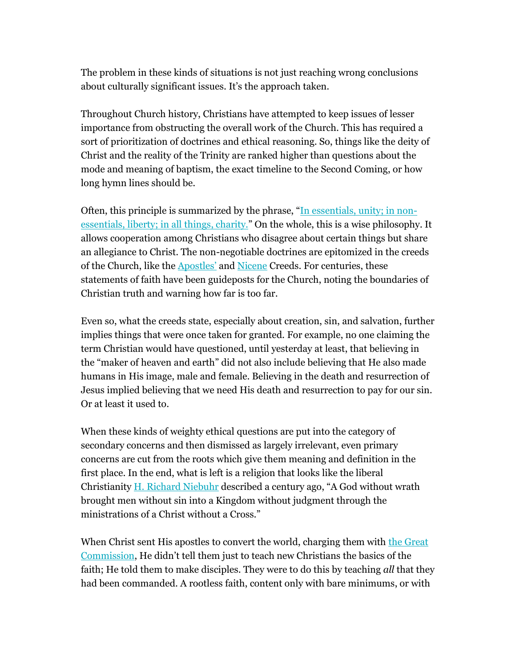The problem in these kinds of situations is not just reaching wrong conclusions about culturally significant issues. It's the approach taken.

Throughout Church history, Christians have attempted to keep issues of lesser importance from obstructing the overall work of the Church. This has required a sort of prioritization of doctrines and ethical reasoning. So, things like the deity of Christ and the reality of the Trinity are ranked higher than questions about the mode and meaning of baptism, the exact timeline to the Second Coming, or how long hymn lines should be.

Often, this principle is summarized by the phrase, "[In essentials, unity; in non](https://email.breakpoint.org/e3t/Ctc/2K+113/cCDWX04/VVsxkz8cq7wqN4QQWX36HbHyW67tPB74LhwMLN2_Qd4S2-MKJV1-WJV7CgHl0W7KHH373Dtr9wW36q4d81gjKGTW7znkbm3WqLBdW1GrjrX1fRwtYW6thypy3MTkTRW2G9mrC22N2gxVmz7991NzX1CW15C6Q63sYKshW70QSrh8yrh2PW8zRrQ16lYg_bW2gt04S3zm1xcW9kDQ6P2kqTjdW8sX_l67w9QVDN3c2kqJXJ1wdW8QFwPV7Kkx89W7v6H8z3sd4VYW3KmJsQ23QvmSW9fXH2L3dqBkVW6QH0L93QdpjRW4VWWFM2wL_T9W4sZr2C4HTZ1bV9-3qJ8qFzpRW6mlb--1bCb6WW11tW3X323LSk3gXW1)[essentials, liberty; in all things, charity.](https://email.breakpoint.org/e3t/Ctc/2K+113/cCDWX04/VVsxkz8cq7wqN4QQWX36HbHyW67tPB74LhwMLN2_Qd4S2-MKJV1-WJV7CgHl0W7KHH373Dtr9wW36q4d81gjKGTW7znkbm3WqLBdW1GrjrX1fRwtYW6thypy3MTkTRW2G9mrC22N2gxVmz7991NzX1CW15C6Q63sYKshW70QSrh8yrh2PW8zRrQ16lYg_bW2gt04S3zm1xcW9kDQ6P2kqTjdW8sX_l67w9QVDN3c2kqJXJ1wdW8QFwPV7Kkx89W7v6H8z3sd4VYW3KmJsQ23QvmSW9fXH2L3dqBkVW6QH0L93QdpjRW4VWWFM2wL_T9W4sZr2C4HTZ1bV9-3qJ8qFzpRW6mlb--1bCb6WW11tW3X323LSk3gXW1)" On the whole, this is a wise philosophy. It allows cooperation among Christians who disagree about certain things but share an allegiance to Christ. The non-negotiable doctrines are epitomized in the creeds of the Church, like the **[Apostles'](https://email.breakpoint.org/e3t/Ctc/2K+113/cCDWX04/VVsxkz8cq7wqN4QQWX36HbHyW67tPB74LhwMLN2_Qd4f2-MK5V1-WJV7CgT5-W6nYS611YF41nW519k1J5_f5TFW4jrw974F4zrHW2LmGXV4BBwyNW7qJqhL8BPqhdW6v63XH2RkQ8VW77V2wN2VxHPcN1_NN9H96-VHW7dTHkn1cwPdFW7srf7s17DbVsVmq3--40PmvzW1mDZ0l1d7nW4W3lSP0W7KRhc_N6DDWqfchQKgW5nYbVn7LM-dMW7mDlxh7vqjLsW3RgJNT4n2sMQVs8bt34sXm3rN9gVrPftBzkvVz3X3B32_Wgf34yj1)** and **Nicene** Creeds. For centuries, these statements of faith have been guideposts for the Church, noting the boundaries of Christian truth and warning how far is too far.

Even so, what the creeds state, especially about creation, sin, and salvation, further implies things that were once taken for granted. For example, no one claiming the term Christian would have questioned, until yesterday at least, that believing in the "maker of heaven and earth" did not also include believing that He also made humans in His image, male and female. Believing in the death and resurrection of Jesus implied believing that we need His death and resurrection to pay for our sin. Or at least it used to.

When these kinds of weighty ethical questions are put into the category of secondary concerns and then dismissed as largely irrelevant, even primary concerns are cut from the roots which give them meaning and definition in the first place. In the end, what is left is a religion that looks like the liberal Christianity [H. Richard Niebuhr](https://email.breakpoint.org/e3t/Ctc/2K+113/cCDWX04/VVsxkz8cq7wqN4QQWX36HbHyW67tPB74LhwMLN2_Qd4y2-MKpV1-WJV7CgzTqW8kPMFq4-936jW6TQqkn2NvmDCW3K9mLJ1zQBwCW48XNXs2lc8K4VH1tcm5QxqGDW5bvyhK4S71RNW7lS0Lm29BfWBW4473Hl22ybJ-W76pHqs2LJVRNVKQrTs45XmltW181rcW5MQVZfV8DwtF28vw_NW2v_VD42zVghgW4fvTd22dr687W4c7r2-4cRKCHW59ktq95CGf15W5qn2vt30vcWNVFQS0W7dpRktW7RVZRj3S5gmjW62-m3B9bCzrrW1XrMcR8NR8nHW4DlXs794wVqF34g51) described a century ago, "A God without wrath brought men without sin into a Kingdom without judgment through the ministrations of a Christ without a Cross."

When Christ sent His apostles to convert the world, charging them with the Great [Commission](https://email.breakpoint.org/e3t/Ctc/2K+113/cCDWX04/VVsxkz8cq7wqN4QQWX36HbHyW67tPB74LhwMLN2_Qd4y2-MKpV1-WJV7CgTxbW58c6Ly1qV1VkW1M6j_N5MyD0fW5gwGwR8k7SJCVtXBsl3CFgvjW3DRRqX3-5Bj7W4WglRq6xf3FgW2Kyb7z3kqjlvW6D67G_1f41CcW7-RK9R1wHqjvW3t8-T087XKW8W6vGh7J40jWLxN2Ndtgnx3s4lW2VF90h98Dp-vW5-VlXc3q1sDlW8pVNgY59T6h3W8hkKRn900_HYW98FC_-1-5PzgW2RTZVd3gYVVhW8dMw_b7YL_KBW6z9F3F4DVx2QV9n7yH5y1P_JW7v-9Xb8n6vsh38SS1), He didn't tell them just to teach new Christians the basics of the faith; He told them to make disciples. They were to do this by teaching *all* that they had been commanded. A rootless faith, content only with bare minimums, or with